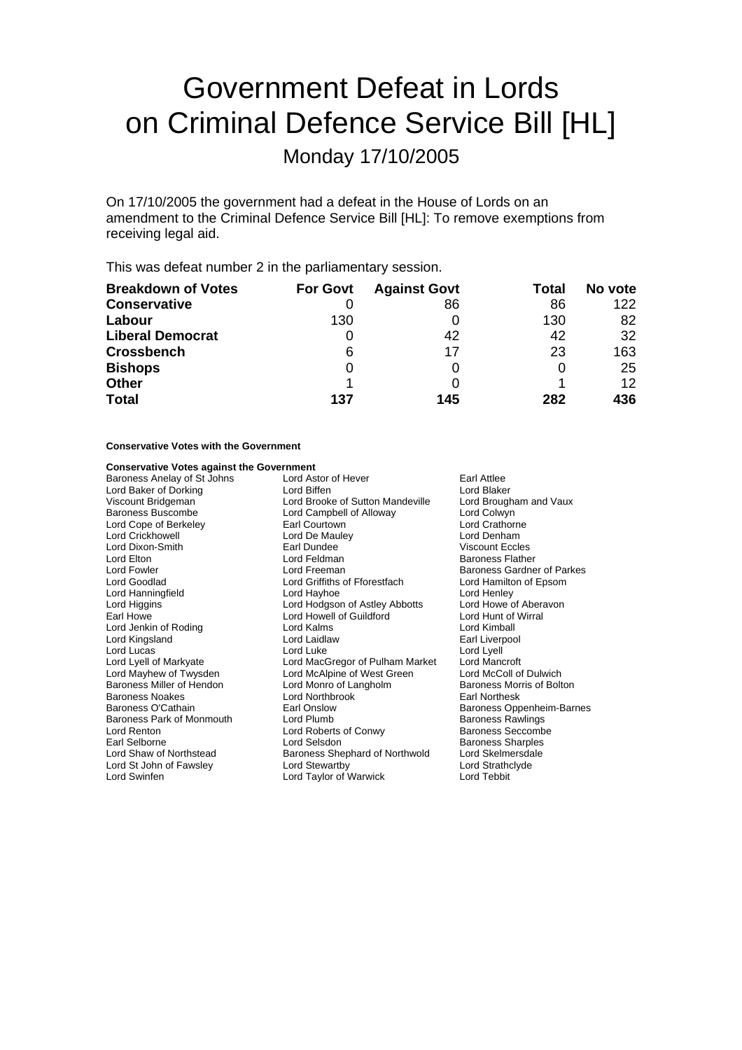# Government Defeat in Lords on Criminal Defence Service Bill [HL]

Monday 17/10/2005

On 17/10/2005 the government had a defeat in the House of Lords on an amendment to the Criminal Defence Service Bill [HL]: To remove exemptions from receiving legal aid.

This was defeat number 2 in the parliamentary session.

| <b>Breakdown of Votes</b> | <b>For Govt</b> | <b>Against Govt</b> | Total | No vote         |
|---------------------------|-----------------|---------------------|-------|-----------------|
| <b>Conservative</b>       |                 | 86                  | 86    | 122             |
| Labour                    | 130             |                     | 130   | 82              |
| <b>Liberal Democrat</b>   |                 | 42                  | 42    | 32              |
| <b>Crossbench</b>         | 6               | 17                  | 23    | 163             |
| <b>Bishops</b>            | 0               |                     |       | 25              |
| <b>Other</b>              |                 |                     |       | 12 <sup>°</sup> |
| <b>Total</b>              | 137             | 145                 | 282   | 436             |

## **Conservative Votes with the Government**

### **Conservative Votes against the Government**

| Baroness Anelay of St Johns | Lord Astor of Hever<br><b>Earl Attlee</b> |                            |  |
|-----------------------------|-------------------------------------------|----------------------------|--|
| Lord Baker of Dorking       | Lord Biffen                               | Lord Blaker                |  |
| Viscount Bridgeman          | Lord Brooke of Sutton Mandeville          | Lord Brougham and Vaux     |  |
| Baroness Buscombe           | Lord Campbell of Alloway                  | Lord Colwyn                |  |
| Lord Cope of Berkeley       | Earl Courtown                             | Lord Crathorne             |  |
| Lord Crickhowell            | Lord De Mauley                            | Lord Denham                |  |
| Lord Dixon-Smith            | Earl Dundee                               | <b>Viscount Eccles</b>     |  |
| Lord Elton                  | Lord Feldman                              | <b>Baroness Flather</b>    |  |
| Lord Fowler                 | Lord Freeman                              | Baroness Gardner of Parkes |  |
| Lord Goodlad                | Lord Griffiths of Fforestfach             | Lord Hamilton of Epsom     |  |
| Lord Hanningfield           | Lord Hayhoe                               | Lord Henley                |  |
| Lord Higgins                | Lord Hodgson of Astley Abbotts            | Lord Howe of Aberavon      |  |
| Earl Howe                   | Lord Howell of Guildford                  | Lord Hunt of Wirral        |  |
| Lord Jenkin of Roding       | Lord Kalms                                | Lord Kimball               |  |
| Lord Kingsland              | Lord Laidlaw                              | Earl Liverpool             |  |
| Lord Lucas                  | Lord Luke                                 | Lord Lyell                 |  |
| Lord Lyell of Markyate      | Lord MacGregor of Pulham Market           | Lord Mancroft              |  |
| Lord Mayhew of Twysden      | Lord McAlpine of West Green               | Lord McColl of Dulwich     |  |
| Baroness Miller of Hendon   | Lord Monro of Langholm                    | Baroness Morris of Bolton  |  |
| Baroness Noakes             | Lord Northbrook                           | <b>Earl Northesk</b>       |  |
| Baroness O'Cathain          | Earl Onslow                               | Baroness Oppenheim-Barnes  |  |
| Baroness Park of Monmouth   | Lord Plumb                                | <b>Baroness Rawlings</b>   |  |
| Lord Renton                 | Lord Roberts of Conwy                     | <b>Baroness Seccombe</b>   |  |
| Earl Selborne               | Lord Selsdon                              | <b>Baroness Sharples</b>   |  |
| Lord Shaw of Northstead     | Baroness Shephard of Northwold            | Lord Skelmersdale          |  |
| Lord St John of Fawsley     | Lord Stewartby                            | Lord Strathclyde           |  |
| Lord Swinfen                | Lord Taylor of Warwick                    | Lord Tebbit                |  |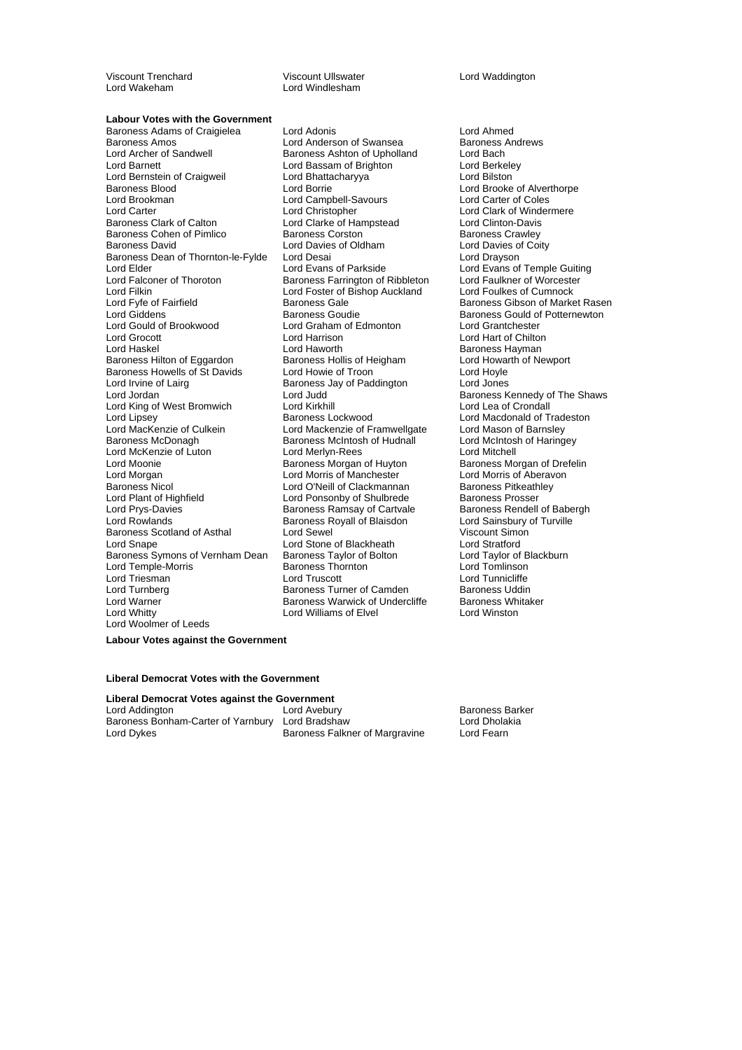Viscount Trenchard **Viscount Ullswater** Viscount Ullswater **Lord Waddington**<br>
Lord Wakeham **Lord Windlesham** Lord Wakeham

#### **Labour Votes with the Government**

Baroness Adams of Craigielea Lord Adonis<br>
Lord Anderson of Swansea Baroness Andrews<br>
Lord Anderson of Swansea Baroness Andrews Baroness Amos<br>
Lord Archer of Sandwell **Baroness Ashton of Upholland** Lord Bach<br>
Lord Archer of Sandwell **Baroness Ashton of Upholland** Lord Bach Lord Archer of Sandwell **Baroness Ashton of Upholland** Lord Bach<br>
Lord Barnett Lord Bach Lord Bassam of Brighton Lord Berkelev Lord Bernstein of Craigweil Lord Bhattacharyya Lord Bilston Baroness Blood **Exercise Servert Conducts** Lord Borrie Corrie Lord Brooke of Alverthorpe<br>
Lord Brookman **Lord Campull** Lord Campbell-Savours Lord Carter of Coles Lord Brookman **Lord Campbell-Savours**<br>
Lord Carter **Campbell**<br>
Lord Christopher Lord Carter Lord Christopher Lord Christopher Lord Clark of Windermere<br>
Baroness Clark of Calton Lord Clarke of Hampstead Lord Clinton-Davis Baroness Cohen of Pimlico **Baroness Corston** Baroness Cawley<br>Baroness David Baroness Corston Baroness Coldham **Baroness Corstoness Corstoness** Coity Baroness Dean of Thornton-le-Fylde Lord Desai<br>Lord Elder Lord Evans of Parkside Lord Elder Lord Evans of Parkside Lord Evans of Temple Guiting<br>Lord Falconer of Thoroton Baroness Farrington of Ribbleton Lord Faulkner of Worcester Lord Falconer of Thoroton Baroness Farrington of Ribbleton Lord Faulkner of Worceste<br>Lord Filkin Lord Foulkes of Cumnock Lord Filkin Lord Foster of Bishop Auckland<br>Lord Fyfe of Fairfield Lord Baroness Gale Lord Giddens **Baroness Goudie** Baroness Gould of Potternewton<br>
Lord Gould of Brookwood Lord Graham of Edmonton Lord Grantchester Lord Gould of Brookwood Lord Graham of Edmonton<br>Lord Grocott Lord Harrison Lord Haskel Lord Haworth Lord Haworth Charless Hayman<br>Baroness Hilton of Eggardon Baroness Hollis of Heigham Lord Howarth of Newport Baroness Hilton of Eggardon Baroness Hollis of Heigham Lord Howarth Cord Howarth Cord Hovle<br>Baroness Howells of St Davids Lord Howie of Troon Cord Hovle Baroness Howells of St Davids Lord Howie of Troon Lord Hoyle<br>Lord Irvine of Lairn Baroness Jay of Paddington Lord Jones Lord Irvine of Lairg **Baroness Jay of Paddington** Lord Jordan **Lord Lord Judd** Lord The Shaws Lord Jordan Baroness Kennedy of The Shaws<br>
Lord King of West Bromwich Lord Kirkhill Lord Cord Lea of Crondall Lord King of West Bromwich Lord Kirkhill<br>
Lord Lipsey Baroness Lockwood Lord Lipsey **Baroness Lockwood** Lord Macdonald of Tradeston<br>
Lord MacKenzie of Culkein **Lord Mackenzie of Framwellgate** Lord Mason of Barnsley Baroness McDonagh **Baroness McIntosh of Hudnall** Lord McIntosh of Haringey<br>
Lord McKenzie of Luton **Baroness McIntosh of Hudnall** Lord Mitchell Lord McKenzie of Luton Lord Merlyn-Rees Lord Mitchell<br>
Lord Moonie Cord Merlyn-Rees Lord Merlyn Baroness Morgan of Drefelin Lord Moonie **Baroness** Morgan of Huyton Lord Morgan Lord Morris of Manchester Lord Morris of Aberavon Baroness Nicol **Lord O'Neill of Clackmannan** Baroness Pitkeath<br>Lord Plant of Highfield **Baroness Prosser**<br>Lord Ponsonby of Shulbrede Baroness Prosser Lord Plant of Highfield Lord Ponsonby of Shulbrede Baroness Prosser<br>
Lord Prys-Davies Caroness Ramsay of Cartvale Baroness Rendell of Babergh Lord Rowlands **Baroness Royall of Blaisdon** Lord Sainsbury of Turville<br>Baroness Scotland of Asthal **Lord Sewel** Lord Sewel Viscount Simon Baroness Scotland of Asthal Lord Sewel<br>
Lord Sname Lord Stone of Blackheath Lord Stratford<br>
Lord Stratford Baroness Symons of Vernham Dean Baroness Taylor of Bolton Lord Taylor of B<br>Lord Temple-Morris Baroness Thornton Lord Tomlinson Lord Temple-Morris **Baroness Thornton Corp.**<br>Cord Triesman Lord Truscott Lord Turnberg Baroness Turner of Camden Lord Warner **Constructs Charles Baroness Warwick of Undercliffe** Baroness Whitaker<br>
Lord Whitty **Constructs Charles Constructs Constructs** Cord Winston Lord Woolmer of Leeds

Lord Bassam of Brighton<br>Lord Bhattacharyya Lord Clarke of Hampstead Lord Clinton-Davis<br>Baroness Corston Clarke Baroness Crawley Lord Davies of Oldham Lord Davies of Coldham Lord Davies of Coity<br>
Lord Drayson Lord Fyfe of Fairfield Baroness Gale Baroness Gibson of Market Rasen Lord Mackenzie of Framwellgate Baroness Ramsay of Cartvale Lord Stone of Blackheath Lord Stratford<br>
Baroness Taylor of Bolton Lord Taylor of Blackburn Lord Williams of Elvel

Lord Hart of Chilton Lord Tunnicliffe<br>Baroness Uddin

**Labour Votes against the Government**

#### **Liberal Democrat Votes with the Government**

**Liberal Democrat Votes against the Government** Lord Avebury Lord Average Character Baroness Barker<br>Baroness Bonham-Carter of Yarnbury Lord Bradshaw Charles Barker Baroness Bonham-Carter of Yarnbury Lord Bradshaw Lord Dholal<br>Lord Dykes Baroness Falkner of Margravine Lord Fearn

Baroness Falkner of Margravine